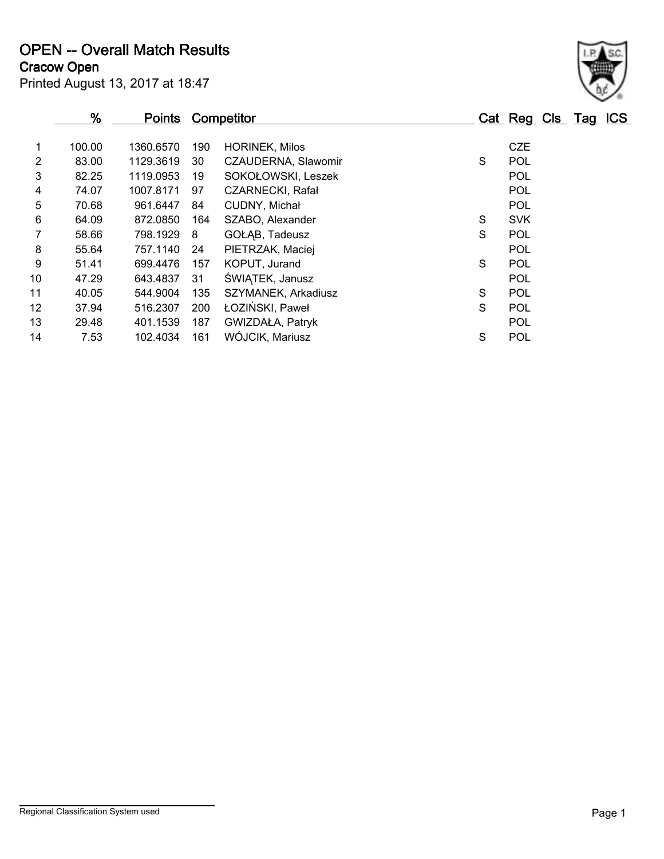**OPEN -- Overall Match Results**

**Cracow Open**

| $\frac{9}{6}$ |           |     |                         |            |            |  |                     |
|---------------|-----------|-----|-------------------------|------------|------------|--|---------------------|
| 100.00        | 1360.6570 | 190 | <b>HORINEK, Milos</b>   |            | <b>CZE</b> |  |                     |
| 83.00         | 1129.3619 | 30  | CZAUDERNA, Slawomir     | S          | POL        |  |                     |
| 82.25         | 1119.0953 | 19  | SOKOŁOWSKI, Leszek      |            | POL        |  |                     |
| 74.07         | 1007.8171 | 97  | <b>CZARNECKI, Rafał</b> |            | POL        |  |                     |
| 70.68         | 961.6447  | 84  | CUDNY, Michał           |            | POL        |  |                     |
| 64.09         | 872.0850  | 164 | SZABO, Alexander        | S          | <b>SVK</b> |  |                     |
| 58.66         | 798.1929  | 8   | GOŁAB, Tadeusz          | S          | POL        |  |                     |
| 55.64         | 757.1140  | 24  | PIETRZAK, Maciej        |            | POL        |  |                     |
| 51.41         | 699.4476  | 157 | KOPUT, Jurand           | S          | POL        |  |                     |
| 47.29         | 643.4837  | 31  | ŚWIĄTEK, Janusz         |            | POL        |  |                     |
| 40.05         | 544.9004  | 135 | SZYMANEK, Arkadiusz     | S          | POL        |  |                     |
| 37.94         | 516.2307  | 200 | ŁOZIŃSKI, Paweł         | S          | POL        |  |                     |
| 29.48         | 401.1539  | 187 | GWIZDAŁA, Patryk        |            | <b>POL</b> |  |                     |
| 7.53          | 102.4034  | 161 | WÓJCIK, Mariusz         | S          | POL        |  |                     |
|               |           |     | <u>Points</u>           | Competitor |            |  | Cat Reg Cls Tag ICS |

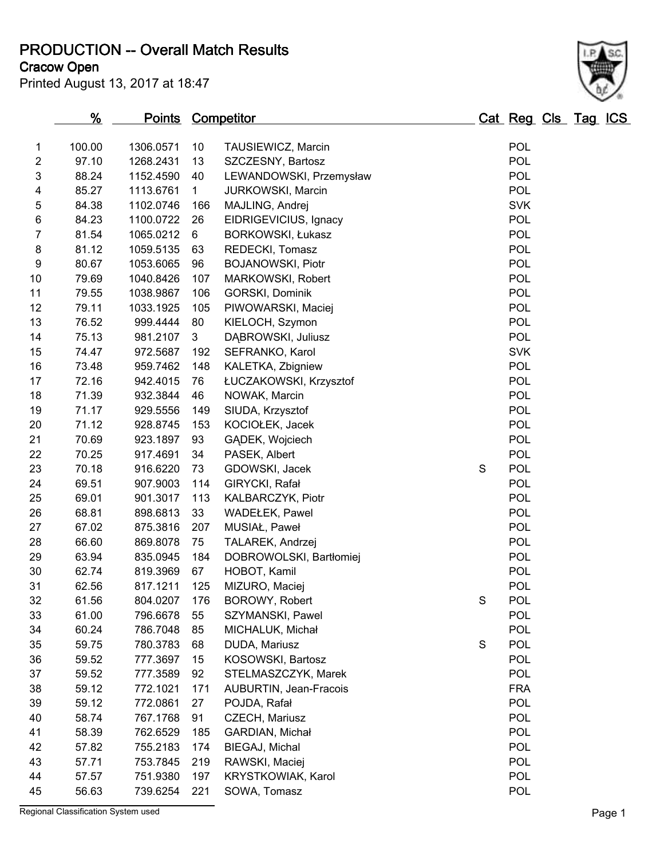**PRODUCTION -- Overall Match Results**

**Cracow Open**

| Printed August 13, 2017 at 18:47 |  |  |  |  |
|----------------------------------|--|--|--|--|
|----------------------------------|--|--|--|--|

| <b>POL</b><br>100.00<br>1306.0571<br>10<br>1<br>TAUSIEWICZ, Marcin<br>$\overline{2}$<br>POL<br>97.10<br>1268.2431<br>13<br>SZCZESNY, Bartosz<br><b>POL</b><br>3<br>88.24<br>1152.4590<br>40<br>LEWANDOWSKI, Przemysław<br><b>POL</b><br>4<br>85.27<br>$\mathbf{1}$<br>1113.6761<br>JURKOWSKI, Marcin<br>5<br><b>SVK</b><br>84.38<br>1102.0746<br>166<br>MAJLING, Andrej<br>$\,6$<br><b>POL</b><br>84.23<br>26<br>1100.0722<br>EIDRIGEVICIUS, Ignacy<br>$\overline{7}$<br><b>POL</b><br>81.54<br>1065.0212<br>6<br>BORKOWSKI, Łukasz<br><b>POL</b><br>8<br>81.12<br>63<br>1059.5135<br>REDECKI, Tomasz<br>$\boldsymbol{9}$<br><b>POL</b><br>80.67<br><b>BOJANOWSKI, Piotr</b><br>1053.6065<br>96<br><b>POL</b><br>79.69<br>10<br>1040.8426<br>107<br>MARKOWSKI, Robert<br><b>POL</b><br>11<br>79.55<br>1038.9867<br>106<br>GORSKI, Dominik<br><b>POL</b><br>12<br>79.11<br>105<br>1033.1925<br>PIWOWARSKI, Maciej<br><b>POL</b><br>13<br>76.52<br>999.4444<br>80<br>KIELOCH, Szymon<br><b>POL</b><br>75.13<br>14<br>981.2107<br>3<br>DĄBROWSKI, Juliusz<br><b>SVK</b><br>74.47<br>SEFRANKO, Karol<br>15<br>972.5687<br>192<br><b>POL</b><br>16<br>73.48<br>148<br>959.7462<br>KALETKA, Zbigniew<br><b>POL</b><br>72.16<br>ŁUCZAKOWSKI, Krzysztof<br>17<br>942.4015<br>76<br><b>POL</b><br>71.39<br>18<br>932.3844<br>46<br>NOWAK, Marcin<br><b>POL</b><br>71.17<br>19<br>929.5556<br>149<br>SIUDA, Krzysztof<br><b>POL</b><br>20<br>71.12<br>153<br>928.8745<br>KOCIOŁEK, Jacek<br><b>POL</b><br>21<br>70.69<br>923.1897<br>93<br>GĄDEK, Wojciech<br><b>POL</b><br>70.25<br>22<br>917.4691<br>34<br>PASEK, Albert<br><b>POL</b><br>23<br>70.18<br>916.6220<br>S<br>73<br>GDOWSKI, Jacek<br><b>POL</b><br>24<br>69.51<br>GIRYCKI, Rafał<br>907.9003<br>114<br><b>POL</b><br>69.01<br>25<br>901.3017<br>113<br>KALBARCZYK, Piotr<br><b>POL</b><br>68.81<br>26<br>898.6813<br>33<br><b>WADEŁEK, Pawel</b><br><b>POL</b><br>27<br>67.02<br>875.3816<br>207<br>MUSIAŁ, Paweł<br><b>POL</b><br>28<br>66.60<br>869.8078<br>75<br>TALAREK, Andrzej<br><b>POL</b><br>DOBROWOLSKI, Bartłomiej<br>29<br>63.94<br>835.0945<br>184<br><b>POL</b><br>62.74<br>HOBOT, Kamil<br>30<br>819.3969<br>67<br><b>POL</b><br>31<br>62.56<br>817.1211<br>125<br>MIZURO, Maciej<br>32<br>$\mathbb S$<br><b>POL</b><br>61.56<br>176<br>BOROWY, Robert<br>804.0207<br><b>POL</b><br>33<br>61.00<br>SZYMANSKI, Pawel<br>796.6678<br>55<br><b>POL</b><br>60.24<br>34<br>786.7048<br>85<br>MICHALUK, Michał<br><b>POL</b><br>S<br>35<br>59.75<br>780.3783<br>68<br>DUDA, Mariusz<br><b>POL</b><br>36<br>59.52<br>777.3697<br>15<br>KOSOWSKI, Bartosz<br><b>POL</b><br>37<br>59.52<br>777.3589<br>92<br>STELMASZCZYK, Marek<br><b>FRA</b><br>38<br>59.12<br>772.1021<br>AUBURTIN, Jean-Fracois<br>171<br><b>POL</b><br>39<br>59.12<br>772.0861<br>27<br>POJDA, Rafał<br><b>POL</b><br>40<br>58.74<br>767.1768<br>91<br>CZECH, Mariusz<br><b>POL</b><br>41<br>58.39<br>762.6529<br>185<br>GARDIAN, Michał<br>POL<br>57.82<br>BIEGAJ, Michal<br>42<br>755.2183<br>174<br><b>POL</b><br>43<br>57.71<br>753.7845<br>219<br>RAWSKI, Maciej<br><b>POL</b><br>44<br>57.57<br>751.9380<br>197<br>KRYSTKOWIAK, Karol |    | <u>%</u> | <u>Points Competitor</u> |     |              | <u>Cat Reg Cls Tag ICS</u> |  |  |
|-----------------------------------------------------------------------------------------------------------------------------------------------------------------------------------------------------------------------------------------------------------------------------------------------------------------------------------------------------------------------------------------------------------------------------------------------------------------------------------------------------------------------------------------------------------------------------------------------------------------------------------------------------------------------------------------------------------------------------------------------------------------------------------------------------------------------------------------------------------------------------------------------------------------------------------------------------------------------------------------------------------------------------------------------------------------------------------------------------------------------------------------------------------------------------------------------------------------------------------------------------------------------------------------------------------------------------------------------------------------------------------------------------------------------------------------------------------------------------------------------------------------------------------------------------------------------------------------------------------------------------------------------------------------------------------------------------------------------------------------------------------------------------------------------------------------------------------------------------------------------------------------------------------------------------------------------------------------------------------------------------------------------------------------------------------------------------------------------------------------------------------------------------------------------------------------------------------------------------------------------------------------------------------------------------------------------------------------------------------------------------------------------------------------------------------------------------------------------------------------------------------------------------------------------------------------------------------------------------------------------------------------------------------------------------------------------------------------------------------------------------------------------------------------------------------------------------------------------------------------------------------------------------------------------------------------------------------------------------------------------------------------------------------------------------------------------------------------------------------------------------------------------------------------------------|----|----------|--------------------------|-----|--------------|----------------------------|--|--|
|                                                                                                                                                                                                                                                                                                                                                                                                                                                                                                                                                                                                                                                                                                                                                                                                                                                                                                                                                                                                                                                                                                                                                                                                                                                                                                                                                                                                                                                                                                                                                                                                                                                                                                                                                                                                                                                                                                                                                                                                                                                                                                                                                                                                                                                                                                                                                                                                                                                                                                                                                                                                                                                                                                                                                                                                                                                                                                                                                                                                                                                                                                                                                                             |    |          |                          |     |              |                            |  |  |
|                                                                                                                                                                                                                                                                                                                                                                                                                                                                                                                                                                                                                                                                                                                                                                                                                                                                                                                                                                                                                                                                                                                                                                                                                                                                                                                                                                                                                                                                                                                                                                                                                                                                                                                                                                                                                                                                                                                                                                                                                                                                                                                                                                                                                                                                                                                                                                                                                                                                                                                                                                                                                                                                                                                                                                                                                                                                                                                                                                                                                                                                                                                                                                             |    |          |                          |     |              |                            |  |  |
|                                                                                                                                                                                                                                                                                                                                                                                                                                                                                                                                                                                                                                                                                                                                                                                                                                                                                                                                                                                                                                                                                                                                                                                                                                                                                                                                                                                                                                                                                                                                                                                                                                                                                                                                                                                                                                                                                                                                                                                                                                                                                                                                                                                                                                                                                                                                                                                                                                                                                                                                                                                                                                                                                                                                                                                                                                                                                                                                                                                                                                                                                                                                                                             |    |          |                          |     |              |                            |  |  |
|                                                                                                                                                                                                                                                                                                                                                                                                                                                                                                                                                                                                                                                                                                                                                                                                                                                                                                                                                                                                                                                                                                                                                                                                                                                                                                                                                                                                                                                                                                                                                                                                                                                                                                                                                                                                                                                                                                                                                                                                                                                                                                                                                                                                                                                                                                                                                                                                                                                                                                                                                                                                                                                                                                                                                                                                                                                                                                                                                                                                                                                                                                                                                                             |    |          |                          |     |              |                            |  |  |
|                                                                                                                                                                                                                                                                                                                                                                                                                                                                                                                                                                                                                                                                                                                                                                                                                                                                                                                                                                                                                                                                                                                                                                                                                                                                                                                                                                                                                                                                                                                                                                                                                                                                                                                                                                                                                                                                                                                                                                                                                                                                                                                                                                                                                                                                                                                                                                                                                                                                                                                                                                                                                                                                                                                                                                                                                                                                                                                                                                                                                                                                                                                                                                             |    |          |                          |     |              |                            |  |  |
|                                                                                                                                                                                                                                                                                                                                                                                                                                                                                                                                                                                                                                                                                                                                                                                                                                                                                                                                                                                                                                                                                                                                                                                                                                                                                                                                                                                                                                                                                                                                                                                                                                                                                                                                                                                                                                                                                                                                                                                                                                                                                                                                                                                                                                                                                                                                                                                                                                                                                                                                                                                                                                                                                                                                                                                                                                                                                                                                                                                                                                                                                                                                                                             |    |          |                          |     |              |                            |  |  |
|                                                                                                                                                                                                                                                                                                                                                                                                                                                                                                                                                                                                                                                                                                                                                                                                                                                                                                                                                                                                                                                                                                                                                                                                                                                                                                                                                                                                                                                                                                                                                                                                                                                                                                                                                                                                                                                                                                                                                                                                                                                                                                                                                                                                                                                                                                                                                                                                                                                                                                                                                                                                                                                                                                                                                                                                                                                                                                                                                                                                                                                                                                                                                                             |    |          |                          |     |              |                            |  |  |
|                                                                                                                                                                                                                                                                                                                                                                                                                                                                                                                                                                                                                                                                                                                                                                                                                                                                                                                                                                                                                                                                                                                                                                                                                                                                                                                                                                                                                                                                                                                                                                                                                                                                                                                                                                                                                                                                                                                                                                                                                                                                                                                                                                                                                                                                                                                                                                                                                                                                                                                                                                                                                                                                                                                                                                                                                                                                                                                                                                                                                                                                                                                                                                             |    |          |                          |     |              |                            |  |  |
|                                                                                                                                                                                                                                                                                                                                                                                                                                                                                                                                                                                                                                                                                                                                                                                                                                                                                                                                                                                                                                                                                                                                                                                                                                                                                                                                                                                                                                                                                                                                                                                                                                                                                                                                                                                                                                                                                                                                                                                                                                                                                                                                                                                                                                                                                                                                                                                                                                                                                                                                                                                                                                                                                                                                                                                                                                                                                                                                                                                                                                                                                                                                                                             |    |          |                          |     |              |                            |  |  |
|                                                                                                                                                                                                                                                                                                                                                                                                                                                                                                                                                                                                                                                                                                                                                                                                                                                                                                                                                                                                                                                                                                                                                                                                                                                                                                                                                                                                                                                                                                                                                                                                                                                                                                                                                                                                                                                                                                                                                                                                                                                                                                                                                                                                                                                                                                                                                                                                                                                                                                                                                                                                                                                                                                                                                                                                                                                                                                                                                                                                                                                                                                                                                                             |    |          |                          |     |              |                            |  |  |
|                                                                                                                                                                                                                                                                                                                                                                                                                                                                                                                                                                                                                                                                                                                                                                                                                                                                                                                                                                                                                                                                                                                                                                                                                                                                                                                                                                                                                                                                                                                                                                                                                                                                                                                                                                                                                                                                                                                                                                                                                                                                                                                                                                                                                                                                                                                                                                                                                                                                                                                                                                                                                                                                                                                                                                                                                                                                                                                                                                                                                                                                                                                                                                             |    |          |                          |     |              |                            |  |  |
|                                                                                                                                                                                                                                                                                                                                                                                                                                                                                                                                                                                                                                                                                                                                                                                                                                                                                                                                                                                                                                                                                                                                                                                                                                                                                                                                                                                                                                                                                                                                                                                                                                                                                                                                                                                                                                                                                                                                                                                                                                                                                                                                                                                                                                                                                                                                                                                                                                                                                                                                                                                                                                                                                                                                                                                                                                                                                                                                                                                                                                                                                                                                                                             |    |          |                          |     |              |                            |  |  |
|                                                                                                                                                                                                                                                                                                                                                                                                                                                                                                                                                                                                                                                                                                                                                                                                                                                                                                                                                                                                                                                                                                                                                                                                                                                                                                                                                                                                                                                                                                                                                                                                                                                                                                                                                                                                                                                                                                                                                                                                                                                                                                                                                                                                                                                                                                                                                                                                                                                                                                                                                                                                                                                                                                                                                                                                                                                                                                                                                                                                                                                                                                                                                                             |    |          |                          |     |              |                            |  |  |
|                                                                                                                                                                                                                                                                                                                                                                                                                                                                                                                                                                                                                                                                                                                                                                                                                                                                                                                                                                                                                                                                                                                                                                                                                                                                                                                                                                                                                                                                                                                                                                                                                                                                                                                                                                                                                                                                                                                                                                                                                                                                                                                                                                                                                                                                                                                                                                                                                                                                                                                                                                                                                                                                                                                                                                                                                                                                                                                                                                                                                                                                                                                                                                             |    |          |                          |     |              |                            |  |  |
|                                                                                                                                                                                                                                                                                                                                                                                                                                                                                                                                                                                                                                                                                                                                                                                                                                                                                                                                                                                                                                                                                                                                                                                                                                                                                                                                                                                                                                                                                                                                                                                                                                                                                                                                                                                                                                                                                                                                                                                                                                                                                                                                                                                                                                                                                                                                                                                                                                                                                                                                                                                                                                                                                                                                                                                                                                                                                                                                                                                                                                                                                                                                                                             |    |          |                          |     |              |                            |  |  |
|                                                                                                                                                                                                                                                                                                                                                                                                                                                                                                                                                                                                                                                                                                                                                                                                                                                                                                                                                                                                                                                                                                                                                                                                                                                                                                                                                                                                                                                                                                                                                                                                                                                                                                                                                                                                                                                                                                                                                                                                                                                                                                                                                                                                                                                                                                                                                                                                                                                                                                                                                                                                                                                                                                                                                                                                                                                                                                                                                                                                                                                                                                                                                                             |    |          |                          |     |              |                            |  |  |
|                                                                                                                                                                                                                                                                                                                                                                                                                                                                                                                                                                                                                                                                                                                                                                                                                                                                                                                                                                                                                                                                                                                                                                                                                                                                                                                                                                                                                                                                                                                                                                                                                                                                                                                                                                                                                                                                                                                                                                                                                                                                                                                                                                                                                                                                                                                                                                                                                                                                                                                                                                                                                                                                                                                                                                                                                                                                                                                                                                                                                                                                                                                                                                             |    |          |                          |     |              |                            |  |  |
|                                                                                                                                                                                                                                                                                                                                                                                                                                                                                                                                                                                                                                                                                                                                                                                                                                                                                                                                                                                                                                                                                                                                                                                                                                                                                                                                                                                                                                                                                                                                                                                                                                                                                                                                                                                                                                                                                                                                                                                                                                                                                                                                                                                                                                                                                                                                                                                                                                                                                                                                                                                                                                                                                                                                                                                                                                                                                                                                                                                                                                                                                                                                                                             |    |          |                          |     |              |                            |  |  |
|                                                                                                                                                                                                                                                                                                                                                                                                                                                                                                                                                                                                                                                                                                                                                                                                                                                                                                                                                                                                                                                                                                                                                                                                                                                                                                                                                                                                                                                                                                                                                                                                                                                                                                                                                                                                                                                                                                                                                                                                                                                                                                                                                                                                                                                                                                                                                                                                                                                                                                                                                                                                                                                                                                                                                                                                                                                                                                                                                                                                                                                                                                                                                                             |    |          |                          |     |              |                            |  |  |
|                                                                                                                                                                                                                                                                                                                                                                                                                                                                                                                                                                                                                                                                                                                                                                                                                                                                                                                                                                                                                                                                                                                                                                                                                                                                                                                                                                                                                                                                                                                                                                                                                                                                                                                                                                                                                                                                                                                                                                                                                                                                                                                                                                                                                                                                                                                                                                                                                                                                                                                                                                                                                                                                                                                                                                                                                                                                                                                                                                                                                                                                                                                                                                             |    |          |                          |     |              |                            |  |  |
|                                                                                                                                                                                                                                                                                                                                                                                                                                                                                                                                                                                                                                                                                                                                                                                                                                                                                                                                                                                                                                                                                                                                                                                                                                                                                                                                                                                                                                                                                                                                                                                                                                                                                                                                                                                                                                                                                                                                                                                                                                                                                                                                                                                                                                                                                                                                                                                                                                                                                                                                                                                                                                                                                                                                                                                                                                                                                                                                                                                                                                                                                                                                                                             |    |          |                          |     |              |                            |  |  |
|                                                                                                                                                                                                                                                                                                                                                                                                                                                                                                                                                                                                                                                                                                                                                                                                                                                                                                                                                                                                                                                                                                                                                                                                                                                                                                                                                                                                                                                                                                                                                                                                                                                                                                                                                                                                                                                                                                                                                                                                                                                                                                                                                                                                                                                                                                                                                                                                                                                                                                                                                                                                                                                                                                                                                                                                                                                                                                                                                                                                                                                                                                                                                                             |    |          |                          |     |              |                            |  |  |
|                                                                                                                                                                                                                                                                                                                                                                                                                                                                                                                                                                                                                                                                                                                                                                                                                                                                                                                                                                                                                                                                                                                                                                                                                                                                                                                                                                                                                                                                                                                                                                                                                                                                                                                                                                                                                                                                                                                                                                                                                                                                                                                                                                                                                                                                                                                                                                                                                                                                                                                                                                                                                                                                                                                                                                                                                                                                                                                                                                                                                                                                                                                                                                             |    |          |                          |     |              |                            |  |  |
|                                                                                                                                                                                                                                                                                                                                                                                                                                                                                                                                                                                                                                                                                                                                                                                                                                                                                                                                                                                                                                                                                                                                                                                                                                                                                                                                                                                                                                                                                                                                                                                                                                                                                                                                                                                                                                                                                                                                                                                                                                                                                                                                                                                                                                                                                                                                                                                                                                                                                                                                                                                                                                                                                                                                                                                                                                                                                                                                                                                                                                                                                                                                                                             |    |          |                          |     |              |                            |  |  |
|                                                                                                                                                                                                                                                                                                                                                                                                                                                                                                                                                                                                                                                                                                                                                                                                                                                                                                                                                                                                                                                                                                                                                                                                                                                                                                                                                                                                                                                                                                                                                                                                                                                                                                                                                                                                                                                                                                                                                                                                                                                                                                                                                                                                                                                                                                                                                                                                                                                                                                                                                                                                                                                                                                                                                                                                                                                                                                                                                                                                                                                                                                                                                                             |    |          |                          |     |              |                            |  |  |
|                                                                                                                                                                                                                                                                                                                                                                                                                                                                                                                                                                                                                                                                                                                                                                                                                                                                                                                                                                                                                                                                                                                                                                                                                                                                                                                                                                                                                                                                                                                                                                                                                                                                                                                                                                                                                                                                                                                                                                                                                                                                                                                                                                                                                                                                                                                                                                                                                                                                                                                                                                                                                                                                                                                                                                                                                                                                                                                                                                                                                                                                                                                                                                             |    |          |                          |     |              |                            |  |  |
|                                                                                                                                                                                                                                                                                                                                                                                                                                                                                                                                                                                                                                                                                                                                                                                                                                                                                                                                                                                                                                                                                                                                                                                                                                                                                                                                                                                                                                                                                                                                                                                                                                                                                                                                                                                                                                                                                                                                                                                                                                                                                                                                                                                                                                                                                                                                                                                                                                                                                                                                                                                                                                                                                                                                                                                                                                                                                                                                                                                                                                                                                                                                                                             |    |          |                          |     |              |                            |  |  |
|                                                                                                                                                                                                                                                                                                                                                                                                                                                                                                                                                                                                                                                                                                                                                                                                                                                                                                                                                                                                                                                                                                                                                                                                                                                                                                                                                                                                                                                                                                                                                                                                                                                                                                                                                                                                                                                                                                                                                                                                                                                                                                                                                                                                                                                                                                                                                                                                                                                                                                                                                                                                                                                                                                                                                                                                                                                                                                                                                                                                                                                                                                                                                                             |    |          |                          |     |              |                            |  |  |
|                                                                                                                                                                                                                                                                                                                                                                                                                                                                                                                                                                                                                                                                                                                                                                                                                                                                                                                                                                                                                                                                                                                                                                                                                                                                                                                                                                                                                                                                                                                                                                                                                                                                                                                                                                                                                                                                                                                                                                                                                                                                                                                                                                                                                                                                                                                                                                                                                                                                                                                                                                                                                                                                                                                                                                                                                                                                                                                                                                                                                                                                                                                                                                             |    |          |                          |     |              |                            |  |  |
|                                                                                                                                                                                                                                                                                                                                                                                                                                                                                                                                                                                                                                                                                                                                                                                                                                                                                                                                                                                                                                                                                                                                                                                                                                                                                                                                                                                                                                                                                                                                                                                                                                                                                                                                                                                                                                                                                                                                                                                                                                                                                                                                                                                                                                                                                                                                                                                                                                                                                                                                                                                                                                                                                                                                                                                                                                                                                                                                                                                                                                                                                                                                                                             |    |          |                          |     |              |                            |  |  |
|                                                                                                                                                                                                                                                                                                                                                                                                                                                                                                                                                                                                                                                                                                                                                                                                                                                                                                                                                                                                                                                                                                                                                                                                                                                                                                                                                                                                                                                                                                                                                                                                                                                                                                                                                                                                                                                                                                                                                                                                                                                                                                                                                                                                                                                                                                                                                                                                                                                                                                                                                                                                                                                                                                                                                                                                                                                                                                                                                                                                                                                                                                                                                                             |    |          |                          |     |              |                            |  |  |
|                                                                                                                                                                                                                                                                                                                                                                                                                                                                                                                                                                                                                                                                                                                                                                                                                                                                                                                                                                                                                                                                                                                                                                                                                                                                                                                                                                                                                                                                                                                                                                                                                                                                                                                                                                                                                                                                                                                                                                                                                                                                                                                                                                                                                                                                                                                                                                                                                                                                                                                                                                                                                                                                                                                                                                                                                                                                                                                                                                                                                                                                                                                                                                             |    |          |                          |     |              |                            |  |  |
|                                                                                                                                                                                                                                                                                                                                                                                                                                                                                                                                                                                                                                                                                                                                                                                                                                                                                                                                                                                                                                                                                                                                                                                                                                                                                                                                                                                                                                                                                                                                                                                                                                                                                                                                                                                                                                                                                                                                                                                                                                                                                                                                                                                                                                                                                                                                                                                                                                                                                                                                                                                                                                                                                                                                                                                                                                                                                                                                                                                                                                                                                                                                                                             |    |          |                          |     |              |                            |  |  |
|                                                                                                                                                                                                                                                                                                                                                                                                                                                                                                                                                                                                                                                                                                                                                                                                                                                                                                                                                                                                                                                                                                                                                                                                                                                                                                                                                                                                                                                                                                                                                                                                                                                                                                                                                                                                                                                                                                                                                                                                                                                                                                                                                                                                                                                                                                                                                                                                                                                                                                                                                                                                                                                                                                                                                                                                                                                                                                                                                                                                                                                                                                                                                                             |    |          |                          |     |              |                            |  |  |
|                                                                                                                                                                                                                                                                                                                                                                                                                                                                                                                                                                                                                                                                                                                                                                                                                                                                                                                                                                                                                                                                                                                                                                                                                                                                                                                                                                                                                                                                                                                                                                                                                                                                                                                                                                                                                                                                                                                                                                                                                                                                                                                                                                                                                                                                                                                                                                                                                                                                                                                                                                                                                                                                                                                                                                                                                                                                                                                                                                                                                                                                                                                                                                             |    |          |                          |     |              |                            |  |  |
|                                                                                                                                                                                                                                                                                                                                                                                                                                                                                                                                                                                                                                                                                                                                                                                                                                                                                                                                                                                                                                                                                                                                                                                                                                                                                                                                                                                                                                                                                                                                                                                                                                                                                                                                                                                                                                                                                                                                                                                                                                                                                                                                                                                                                                                                                                                                                                                                                                                                                                                                                                                                                                                                                                                                                                                                                                                                                                                                                                                                                                                                                                                                                                             |    |          |                          |     |              |                            |  |  |
|                                                                                                                                                                                                                                                                                                                                                                                                                                                                                                                                                                                                                                                                                                                                                                                                                                                                                                                                                                                                                                                                                                                                                                                                                                                                                                                                                                                                                                                                                                                                                                                                                                                                                                                                                                                                                                                                                                                                                                                                                                                                                                                                                                                                                                                                                                                                                                                                                                                                                                                                                                                                                                                                                                                                                                                                                                                                                                                                                                                                                                                                                                                                                                             |    |          |                          |     |              |                            |  |  |
|                                                                                                                                                                                                                                                                                                                                                                                                                                                                                                                                                                                                                                                                                                                                                                                                                                                                                                                                                                                                                                                                                                                                                                                                                                                                                                                                                                                                                                                                                                                                                                                                                                                                                                                                                                                                                                                                                                                                                                                                                                                                                                                                                                                                                                                                                                                                                                                                                                                                                                                                                                                                                                                                                                                                                                                                                                                                                                                                                                                                                                                                                                                                                                             |    |          |                          |     |              |                            |  |  |
|                                                                                                                                                                                                                                                                                                                                                                                                                                                                                                                                                                                                                                                                                                                                                                                                                                                                                                                                                                                                                                                                                                                                                                                                                                                                                                                                                                                                                                                                                                                                                                                                                                                                                                                                                                                                                                                                                                                                                                                                                                                                                                                                                                                                                                                                                                                                                                                                                                                                                                                                                                                                                                                                                                                                                                                                                                                                                                                                                                                                                                                                                                                                                                             |    |          |                          |     |              |                            |  |  |
|                                                                                                                                                                                                                                                                                                                                                                                                                                                                                                                                                                                                                                                                                                                                                                                                                                                                                                                                                                                                                                                                                                                                                                                                                                                                                                                                                                                                                                                                                                                                                                                                                                                                                                                                                                                                                                                                                                                                                                                                                                                                                                                                                                                                                                                                                                                                                                                                                                                                                                                                                                                                                                                                                                                                                                                                                                                                                                                                                                                                                                                                                                                                                                             |    |          |                          |     |              |                            |  |  |
|                                                                                                                                                                                                                                                                                                                                                                                                                                                                                                                                                                                                                                                                                                                                                                                                                                                                                                                                                                                                                                                                                                                                                                                                                                                                                                                                                                                                                                                                                                                                                                                                                                                                                                                                                                                                                                                                                                                                                                                                                                                                                                                                                                                                                                                                                                                                                                                                                                                                                                                                                                                                                                                                                                                                                                                                                                                                                                                                                                                                                                                                                                                                                                             |    |          |                          |     |              |                            |  |  |
|                                                                                                                                                                                                                                                                                                                                                                                                                                                                                                                                                                                                                                                                                                                                                                                                                                                                                                                                                                                                                                                                                                                                                                                                                                                                                                                                                                                                                                                                                                                                                                                                                                                                                                                                                                                                                                                                                                                                                                                                                                                                                                                                                                                                                                                                                                                                                                                                                                                                                                                                                                                                                                                                                                                                                                                                                                                                                                                                                                                                                                                                                                                                                                             |    |          |                          |     |              |                            |  |  |
|                                                                                                                                                                                                                                                                                                                                                                                                                                                                                                                                                                                                                                                                                                                                                                                                                                                                                                                                                                                                                                                                                                                                                                                                                                                                                                                                                                                                                                                                                                                                                                                                                                                                                                                                                                                                                                                                                                                                                                                                                                                                                                                                                                                                                                                                                                                                                                                                                                                                                                                                                                                                                                                                                                                                                                                                                                                                                                                                                                                                                                                                                                                                                                             |    |          |                          |     |              |                            |  |  |
|                                                                                                                                                                                                                                                                                                                                                                                                                                                                                                                                                                                                                                                                                                                                                                                                                                                                                                                                                                                                                                                                                                                                                                                                                                                                                                                                                                                                                                                                                                                                                                                                                                                                                                                                                                                                                                                                                                                                                                                                                                                                                                                                                                                                                                                                                                                                                                                                                                                                                                                                                                                                                                                                                                                                                                                                                                                                                                                                                                                                                                                                                                                                                                             |    |          |                          |     |              |                            |  |  |
|                                                                                                                                                                                                                                                                                                                                                                                                                                                                                                                                                                                                                                                                                                                                                                                                                                                                                                                                                                                                                                                                                                                                                                                                                                                                                                                                                                                                                                                                                                                                                                                                                                                                                                                                                                                                                                                                                                                                                                                                                                                                                                                                                                                                                                                                                                                                                                                                                                                                                                                                                                                                                                                                                                                                                                                                                                                                                                                                                                                                                                                                                                                                                                             | 45 | 56.63    | 739.6254                 | 221 | SOWA, Tomasz | <b>POL</b>                 |  |  |

Regional Classification System used **Page 1**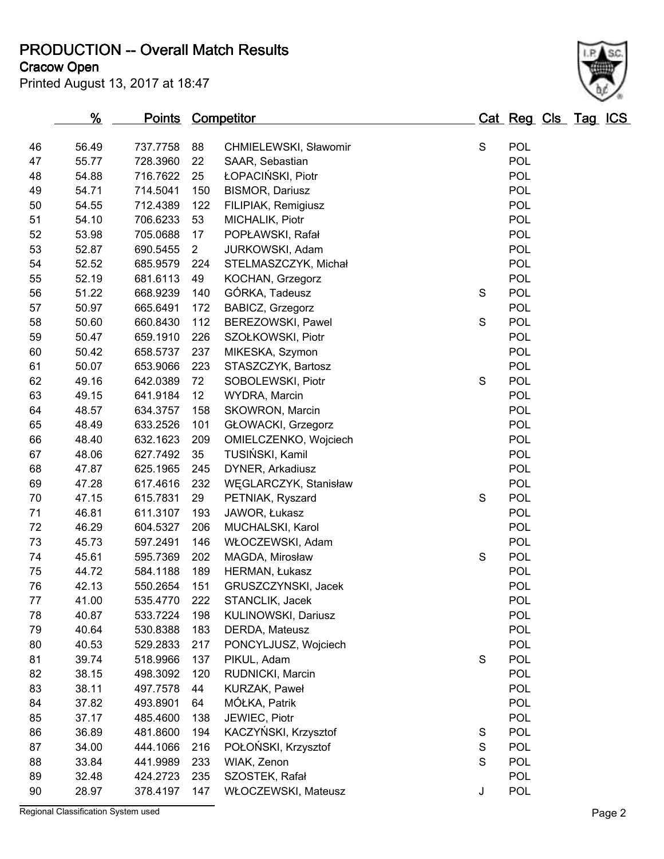**PRODUCTION -- Overall Match Results**

**Cracow Open**

| Printed August 13, 2017 at 18:47 |  |  |  |  |
|----------------------------------|--|--|--|--|
|----------------------------------|--|--|--|--|



|    | <u>%</u> | <u>Points</u> |                | <b>Competitor</b>      |             | <b>Cat Reg Cls Tag ICS</b> |  |  |
|----|----------|---------------|----------------|------------------------|-------------|----------------------------|--|--|
| 46 | 56.49    | 737.7758      | 88             | CHMIELEWSKI, Sławomir  | $\mathbf S$ | <b>POL</b>                 |  |  |
| 47 | 55.77    | 728.3960      | 22             | SAAR, Sebastian        |             | POL                        |  |  |
| 48 | 54.88    | 716.7622      | 25             | ŁOPACIŃSKI, Piotr      |             | POL                        |  |  |
| 49 | 54.71    | 714.5041      | 150            | <b>BISMOR, Dariusz</b> |             | POL                        |  |  |
| 50 | 54.55    | 712.4389      | 122            | FILIPIAK, Remigiusz    |             | <b>POL</b>                 |  |  |
| 51 | 54.10    | 706.6233      | 53             | MICHALIK, Piotr        |             | POL                        |  |  |
| 52 | 53.98    | 705.0688      | 17             | POPŁAWSKI, Rafał       |             | <b>POL</b>                 |  |  |
| 53 | 52.87    | 690.5455      | $\overline{2}$ | JURKOWSKI, Adam        |             | POL                        |  |  |
| 54 | 52.52    | 685.9579      | 224            | STELMASZCZYK, Michał   |             | <b>POL</b>                 |  |  |
| 55 | 52.19    | 681.6113      | 49             | KOCHAN, Grzegorz       |             | POL                        |  |  |
| 56 | 51.22    | 668.9239      | 140            | GÓRKA, Tadeusz         | S           | <b>POL</b>                 |  |  |
| 57 | 50.97    | 665.6491      | 172            | BABICZ, Grzegorz       |             | POL                        |  |  |
| 58 | 50.60    | 660.8430      | 112            | BEREZOWSKI, Pawel      | S           | <b>POL</b>                 |  |  |
| 59 | 50.47    | 659.1910      | 226            | SZOŁKOWSKI, Piotr      |             | POL                        |  |  |
| 60 | 50.42    | 658.5737      | 237            | MIKESKA, Szymon        |             | POL                        |  |  |
| 61 | 50.07    | 653.9066      | 223            | STASZCZYK, Bartosz     |             | POL                        |  |  |
| 62 | 49.16    | 642.0389      | 72             | SOBOLEWSKI, Piotr      | S           | <b>POL</b>                 |  |  |
| 63 | 49.15    | 641.9184      | 12             | WYDRA, Marcin          |             | POL                        |  |  |
| 64 | 48.57    | 634.3757      | 158            | SKOWRON, Marcin        |             | POL                        |  |  |
| 65 | 48.49    | 633.2526      | 101            | GŁOWACKI, Grzegorz     |             | POL                        |  |  |
| 66 | 48.40    | 632.1623      | 209            | OMIELCZENKO, Wojciech  |             | <b>POL</b>                 |  |  |
| 67 | 48.06    | 627.7492      | 35             | TUSIŃSKI, Kamil        |             | POL                        |  |  |
| 68 | 47.87    | 625.1965      | 245            | DYNER, Arkadiusz       |             | POL                        |  |  |
| 69 | 47.28    | 617.4616      | 232            | WĘGLARCZYK, Stanisław  |             | <b>POL</b>                 |  |  |
| 70 | 47.15    | 615.7831      | 29             | PETNIAK, Ryszard       | S           | <b>POL</b>                 |  |  |
| 71 | 46.81    | 611.3107      | 193            | JAWOR, Łukasz          |             | POL                        |  |  |
| 72 | 46.29    | 604.5327      | 206            | MUCHALSKI, Karol       |             | POL                        |  |  |
| 73 | 45.73    | 597.2491      | 146            | WŁOCZEWSKI, Adam       |             | <b>POL</b>                 |  |  |
| 74 | 45.61    | 595.7369      | 202            | MAGDA, Mirosław        | S           | <b>POL</b>                 |  |  |
| 75 | 44.72    | 584.1188      | 189            | HERMAN, Łukasz         |             | <b>POL</b>                 |  |  |
| 76 | 42.13    | 550.2654      | 151            | GRUSZCZYNSKI, Jacek    |             | POL                        |  |  |
| 77 | 41.00    | 535.4770      | 222            | STANCLIK, Jacek        |             | <b>POL</b>                 |  |  |
| 78 | 40.87    | 533.7224      | 198            | KULINOWSKI, Dariusz    |             | POL                        |  |  |
| 79 | 40.64    | 530.8388      | 183            | DERDA, Mateusz         |             | <b>POL</b>                 |  |  |
| 80 | 40.53    | 529.2833      | 217            | PONCYLJUSZ, Wojciech   |             | <b>POL</b>                 |  |  |
| 81 | 39.74    | 518.9966      | 137            | PIKUL, Adam            | S           | <b>POL</b>                 |  |  |
| 82 | 38.15    | 498.3092      | 120            | RUDNICKI, Marcin       |             | <b>POL</b>                 |  |  |
| 83 | 38.11    | 497.7578      | 44             | KURZAK, Paweł          |             | <b>POL</b>                 |  |  |
| 84 | 37.82    | 493.8901      | 64             | MÓŁKA, Patrik          |             | <b>POL</b>                 |  |  |
| 85 | 37.17    | 485.4600      | 138            | JEWIEC, Piotr          |             | <b>POL</b>                 |  |  |
| 86 | 36.89    | 481.8600      | 194            | KACZYŃSKI, Krzysztof   | S           | <b>POL</b>                 |  |  |
| 87 | 34.00    | 444.1066      | 216            | POŁOŃSKI, Krzysztof    | S<br>S      | <b>POL</b>                 |  |  |
| 88 | 33.84    | 441.9989      | 233            | WIAK, Zenon            |             | <b>POL</b>                 |  |  |
| 89 | 32.48    | 424.2723      | 235            | SZOSTEK, Rafał         |             | <b>POL</b>                 |  |  |
| 90 | 28.97    | 378.4197      | 147            | WŁOCZEWSKI, Mateusz    | J           | <b>POL</b>                 |  |  |

Regional Classification System used **Page 2**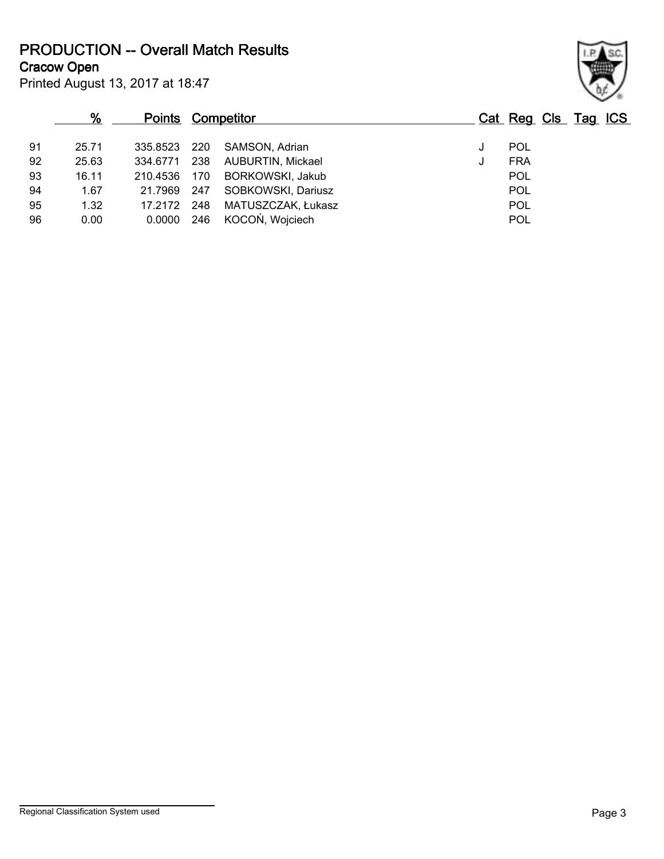**PRODUCTION -- Overall Match Results**

**Cracow Open**

|    | %     | <b>Points Competitor</b> |     |                         | Cat Reg Cls Tag ICS |  |  |
|----|-------|--------------------------|-----|-------------------------|---------------------|--|--|
| 91 | 25.71 | 335.8523                 | 220 | SAMSON, Adrian          | POL                 |  |  |
| 92 | 25.63 | 334.6771                 | 238 | AUBURTIN, Mickael       | <b>FRA</b>          |  |  |
| 93 | 16.11 | 210.4536                 | 170 | <b>BORKOWSKI, Jakub</b> | <b>POL</b>          |  |  |
| 94 | 1.67  | 21.7969                  | 247 | SOBKOWSKI, Dariusz      | POL                 |  |  |
| 95 | 1.32  | 17.2172                  | 248 | MATUSZCZAK, Łukasz      | POL                 |  |  |
| 96 | 0.00  | 0.0000                   | 246 | KOCOŃ, Wojciech         | <b>POL</b>          |  |  |
|    |       |                          |     |                         |                     |  |  |

Printed August 13, 2017 at 18:47

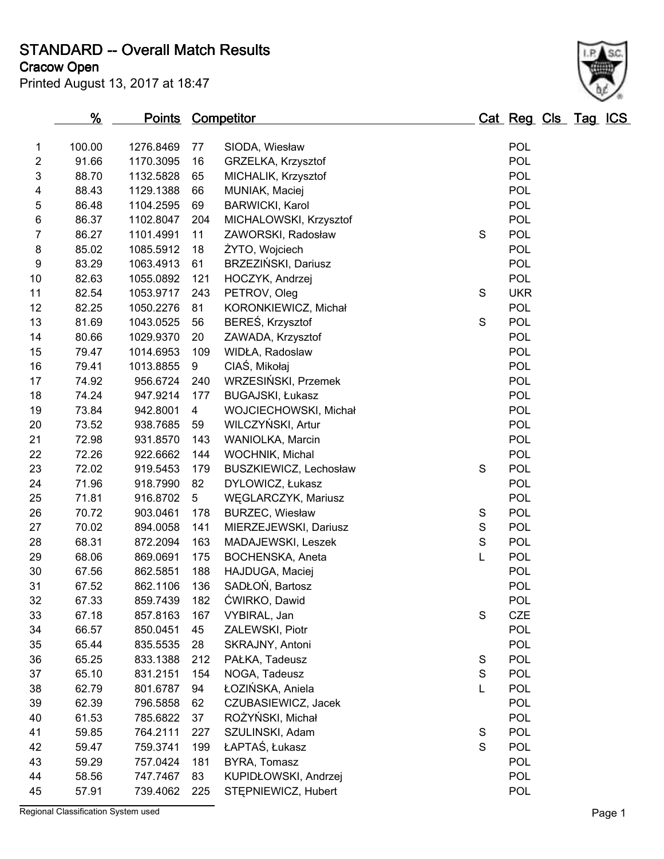**STANDARD -- Overall Match Results**

**Cracow Open**

| Printed August 13, 2017 at 18:47 |  |
|----------------------------------|--|
|----------------------------------|--|



|    | %      | <b>Points Competitor</b> |                |                         |             | Cat Reg Cls Tag ICS |  |  |
|----|--------|--------------------------|----------------|-------------------------|-------------|---------------------|--|--|
| 1  | 100.00 | 1276.8469                | 77             | SIODA, Wiesław          |             | <b>POL</b>          |  |  |
| 2  | 91.66  | 1170.3095                | 16             | GRZELKA, Krzysztof      |             | <b>POL</b>          |  |  |
| 3  | 88.70  | 1132.5828                | 65             | MICHALIK, Krzysztof     |             | <b>POL</b>          |  |  |
| 4  | 88.43  | 1129.1388                | 66             | MUNIAK, Maciej          |             | <b>POL</b>          |  |  |
| 5  | 86.48  | 1104.2595                | 69             | <b>BARWICKI, Karol</b>  |             | <b>POL</b>          |  |  |
| 6  | 86.37  | 1102.8047                | 204            | MICHALOWSKI, Krzysztof  |             | <b>POL</b>          |  |  |
| 7  | 86.27  | 1101.4991                | 11             | ZAWORSKI, Radosław      | S           | <b>POL</b>          |  |  |
| 8  | 85.02  | 1085.5912                | 18             | ŻYTO, Wojciech          |             | <b>POL</b>          |  |  |
| 9  | 83.29  | 1063.4913                | 61             | BRZEZIŃSKI, Dariusz     |             | <b>POL</b>          |  |  |
| 10 | 82.63  | 1055.0892                | 121            | HOCZYK, Andrzej         |             | <b>POL</b>          |  |  |
| 11 | 82.54  | 1053.9717                | 243            | PETROV, Oleg            | S           | <b>UKR</b>          |  |  |
| 12 | 82.25  | 1050.2276                | 81             | KORONKIEWICZ, Michał    |             | <b>POL</b>          |  |  |
| 13 | 81.69  | 1043.0525                | 56             | BEREŚ, Krzysztof        | S           | <b>POL</b>          |  |  |
| 14 | 80.66  | 1029.9370                | 20             | ZAWADA, Krzysztof       |             | <b>POL</b>          |  |  |
| 15 | 79.47  | 1014.6953                | 109            | WIDŁA, Radoslaw         |             | <b>POL</b>          |  |  |
| 16 | 79.41  | 1013.8855                | 9              | CIAŚ, Mikołaj           |             | <b>POL</b>          |  |  |
| 17 | 74.92  | 956.6724                 | 240            | WRZESIŃSKI, Przemek     |             | <b>POL</b>          |  |  |
| 18 | 74.24  | 947.9214                 | 177            | <b>BUGAJSKI, Łukasz</b> |             | <b>POL</b>          |  |  |
| 19 | 73.84  | 942.8001                 | $\overline{4}$ | WOJCIECHOWSKI, Michał   |             | <b>POL</b>          |  |  |
| 20 | 73.52  | 938.7685                 | 59             | WILCZYŃSKI, Artur       |             | <b>POL</b>          |  |  |
| 21 | 72.98  | 931.8570                 | 143            | WANIOLKA, Marcin        |             | <b>POL</b>          |  |  |
| 22 | 72.26  | 922.6662                 | 144            | WOCHNIK, Michal         |             | <b>POL</b>          |  |  |
| 23 | 72.02  | 919.5453                 | 179            | BUSZKIEWICZ, Lechosław  | S           | <b>POL</b>          |  |  |
| 24 | 71.96  | 918.7990                 | 82             | DYLOWICZ, Łukasz        |             | <b>POL</b>          |  |  |
| 25 | 71.81  | 916.8702                 | 5              | WĘGLARCZYK, Mariusz     |             | <b>POL</b>          |  |  |
| 26 | 70.72  | 903.0461                 | 178            | <b>BURZEC, Wiesław</b>  | S           | <b>POL</b>          |  |  |
| 27 | 70.02  | 894.0058                 | 141            | MIERZEJEWSKI, Dariusz   | $\mathbf S$ | <b>POL</b>          |  |  |
| 28 | 68.31  | 872.2094                 | 163            | MADAJEWSKI, Leszek      | $\mathbf S$ | <b>POL</b>          |  |  |
| 29 | 68.06  | 869.0691                 | 175            | BOCHENSKA, Aneta        | Г           | <b>POL</b>          |  |  |
| 30 | 67.56  | 862.5851                 | 188            | HAJDUGA, Maciej         |             | <b>POL</b>          |  |  |
| 31 | 67.52  | 862.1106                 | 136            | SADŁOŃ, Bartosz         |             | POL                 |  |  |
| 32 | 67.33  | 859.7439                 | 182            | ĆWIRKO, Dawid           |             | POL                 |  |  |
| 33 | 67.18  | 857.8163                 | 167            | VYBIRAL, Jan            | $\mathbf S$ | CZE                 |  |  |
| 34 | 66.57  | 850.0451                 | 45             | ZALEWSKI, Piotr         |             | <b>POL</b>          |  |  |
| 35 | 65.44  | 835.5535                 | 28             | SKRAJNY, Antoni         |             | <b>POL</b>          |  |  |
| 36 | 65.25  | 833.1388                 | 212            | PAŁKA, Tadeusz          | $\mathbb S$ | <b>POL</b>          |  |  |
| 37 | 65.10  | 831.2151                 | 154            | NOGA, Tadeusz           | $\mathbf S$ | <b>POL</b>          |  |  |
| 38 | 62.79  | 801.6787                 | 94             | ŁOZIŃSKA, Aniela        | L           | <b>POL</b>          |  |  |
| 39 | 62.39  | 796.5858                 | 62             | CZUBASIEWICZ, Jacek     |             | <b>POL</b>          |  |  |
| 40 | 61.53  | 785.6822                 | 37             | ROŻYŃSKI, Michał        |             | <b>POL</b>          |  |  |
| 41 | 59.85  | 764.2111                 | 227            | SZULINSKI, Adam         | S           | <b>POL</b>          |  |  |
| 42 | 59.47  | 759.3741                 | 199            | ŁAPTAŚ, Łukasz          | S           | <b>POL</b>          |  |  |
| 43 | 59.29  | 757.0424                 | 181            | BYRA, Tomasz            |             | <b>POL</b>          |  |  |
| 44 | 58.56  | 747.7467                 | 83             | KUPIDŁOWSKI, Andrzej    |             | POL                 |  |  |
| 45 | 57.91  | 739.4062                 | 225            | STEPNIEWICZ, Hubert     |             | <b>POL</b>          |  |  |

Regional Classification System used **Page 1**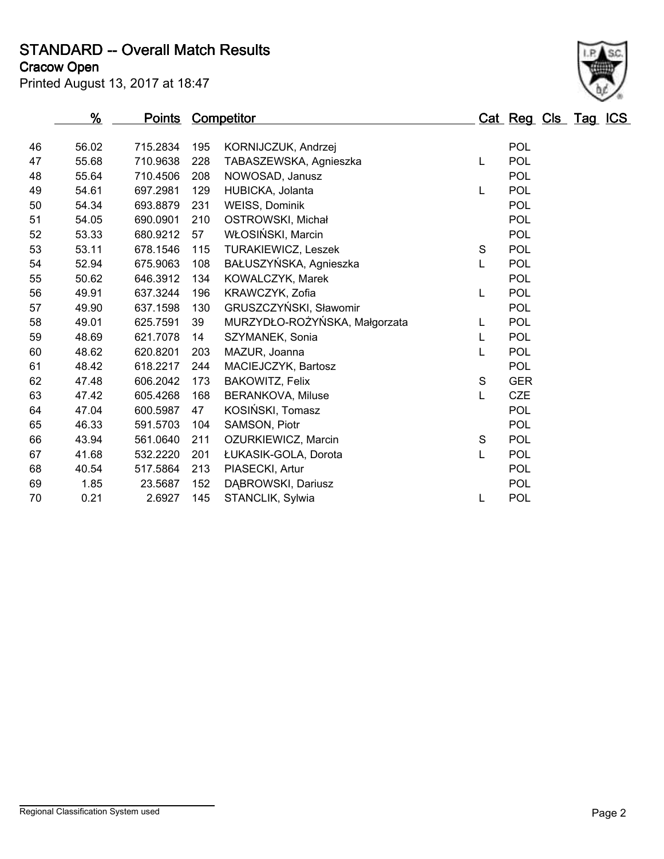**STANDARD -- Overall Match Results**

**Cracow Open**



|    | %     | <b>Points Competitor</b> |     |                               |             | Cat Reg Cls Tag ICS |  |
|----|-------|--------------------------|-----|-------------------------------|-------------|---------------------|--|
| 46 | 56.02 | 715.2834                 | 195 |                               |             | POL                 |  |
|    |       |                          |     | KORNIJCZUK, Andrzej           |             |                     |  |
| 47 | 55.68 | 710.9638                 | 228 | TABASZEWSKA, Agnieszka        | L           | POL                 |  |
| 48 | 55.64 | 710.4506                 | 208 | NOWOSAD, Janusz               |             | POL                 |  |
| 49 | 54.61 | 697.2981                 | 129 | HUBICKA, Jolanta              | L           | POL                 |  |
| 50 | 54.34 | 693.8879                 | 231 | <b>WEISS, Dominik</b>         |             | POL                 |  |
| 51 | 54.05 | 690.0901                 | 210 | OSTROWSKI, Michał             |             | POL                 |  |
| 52 | 53.33 | 680.9212                 | 57  | WŁOSIŃSKI, Marcin             |             | POL                 |  |
| 53 | 53.11 | 678.1546                 | 115 | TURAKIEWICZ, Leszek           | $\mathbf S$ | POL                 |  |
| 54 | 52.94 | 675.9063                 | 108 | BAŁUSZYŃSKA, Agnieszka        | L           | POL                 |  |
| 55 | 50.62 | 646.3912                 | 134 | KOWALCZYK, Marek              |             | POL                 |  |
| 56 | 49.91 | 637.3244                 | 196 | KRAWCZYK, Zofia               | L           | <b>POL</b>          |  |
| 57 | 49.90 | 637.1598                 | 130 | GRUSZCZYŃSKI, Sławomir        |             | POL                 |  |
| 58 | 49.01 | 625.7591                 | 39  | MURZYDŁO-ROŻYŃSKA, Małgorzata | L           | POL                 |  |
| 59 | 48.69 | 621.7078                 | 14  | SZYMANEK, Sonia               | L           | POL                 |  |
| 60 | 48.62 | 620.8201                 | 203 | MAZUR, Joanna                 | L           | <b>POL</b>          |  |
| 61 | 48.42 | 618.2217                 | 244 | MACIEJCZYK, Bartosz           |             | POL                 |  |
| 62 | 47.48 | 606.2042                 | 173 | BAKOWITZ, Felix               | $\mathsf S$ | <b>GER</b>          |  |
| 63 | 47.42 | 605.4268                 | 168 | <b>BERANKOVA, Miluse</b>      | L           | <b>CZE</b>          |  |
| 64 | 47.04 | 600.5987                 | 47  | KOSIŃSKI, Tomasz              |             | POL                 |  |
| 65 | 46.33 | 591.5703                 | 104 | SAMSON, Piotr                 |             | POL                 |  |
| 66 | 43.94 | 561.0640                 | 211 | OZURKIEWICZ, Marcin           | $\mathbf S$ | POL                 |  |
| 67 | 41.68 | 532.2220                 | 201 | ŁUKASIK-GOLA, Dorota          | L           | POL                 |  |
| 68 | 40.54 | 517.5864                 | 213 | PIASECKI, Artur               |             | POL                 |  |
| 69 | 1.85  | 23.5687                  | 152 | DABROWSKI, Dariusz            |             | POL                 |  |
| 70 | 0.21  | 2.6927                   | 145 | STANCLIK, Sylwia              | L           | POL                 |  |
|    |       |                          |     |                               |             |                     |  |